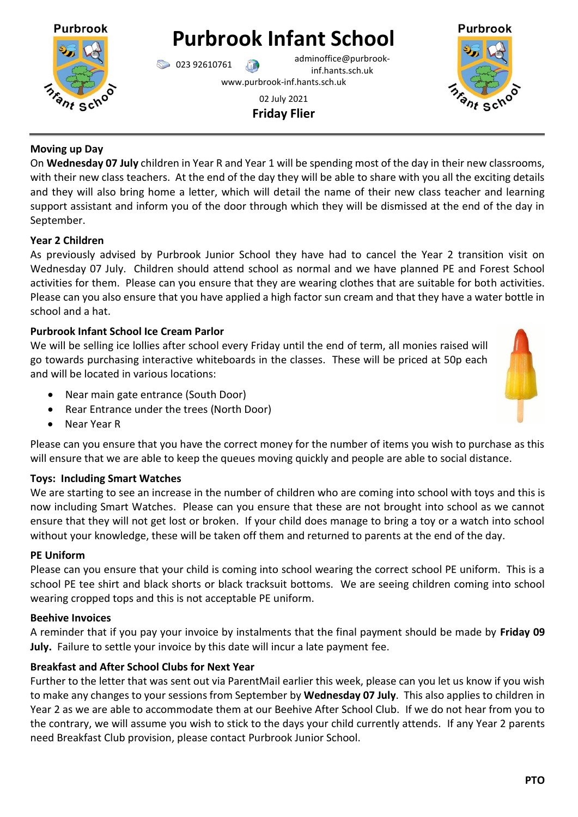# **Purbrook Infant School**

023 92610761 adminoffice@purbrookinf.hants.sch.uk www.purbrook-inf.hants.sch.uk

> 02 July 2021 **Friday Flier**



On **Wednesday 07 July** children in Year R and Year 1 will be spending most of the day in their new classrooms, with their new class teachers. At the end of the day they will be able to share with you all the exciting details and they will also bring home a letter, which will detail the name of their new class teacher and learning support assistant and inform you of the door through which they will be dismissed at the end of the day in September.

# **Year 2 Children**

As previously advised by Purbrook Junior School they have had to cancel the Year 2 transition visit on Wednesday 07 July. Children should attend school as normal and we have planned PE and Forest School activities for them. Please can you ensure that they are wearing clothes that are suitable for both activities. Please can you also ensure that you have applied a high factor sun cream and that they have a water bottle in school and a hat.

# **Purbrook Infant School Ice Cream Parlor**

We will be selling ice lollies after school every Friday until the end of term, all monies raised will go towards purchasing interactive whiteboards in the classes. These will be priced at 50p each and will be located in various locations:

- Near main gate entrance (South Door)
- Rear Entrance under the trees (North Door)
- Near Year R

Please can you ensure that you have the correct money for the number of items you wish to purchase as this will ensure that we are able to keep the queues moving quickly and people are able to social distance.

# **Toys: Including Smart Watches**

We are starting to see an increase in the number of children who are coming into school with toys and this is now including Smart Watches. Please can you ensure that these are not brought into school as we cannot ensure that they will not get lost or broken. If your child does manage to bring a toy or a watch into school without your knowledge, these will be taken off them and returned to parents at the end of the day.

# **PE Uniform**

Please can you ensure that your child is coming into school wearing the correct school PE uniform. This is a school PE tee shirt and black shorts or black tracksuit bottoms. We are seeing children coming into school wearing cropped tops and this is not acceptable PE uniform.

# **Beehive Invoices**

A reminder that if you pay your invoice by instalments that the final payment should be made by **Friday 09 July.** Failure to settle your invoice by this date will incur a late payment fee.

# **Breakfast and After School Clubs for Next Year**

Further to the letter that was sent out via ParentMail earlier this week, please can you let us know if you wish to make any changes to your sessions from September by **Wednesday 07 July**. This also applies to children in Year 2 as we are able to accommodate them at our Beehive After School Club. If we do not hear from you to the contrary, we will assume you wish to stick to the days your child currently attends. If any Year 2 parents need Breakfast Club provision, please contact Purbrook Junior School.



**Purbrook**